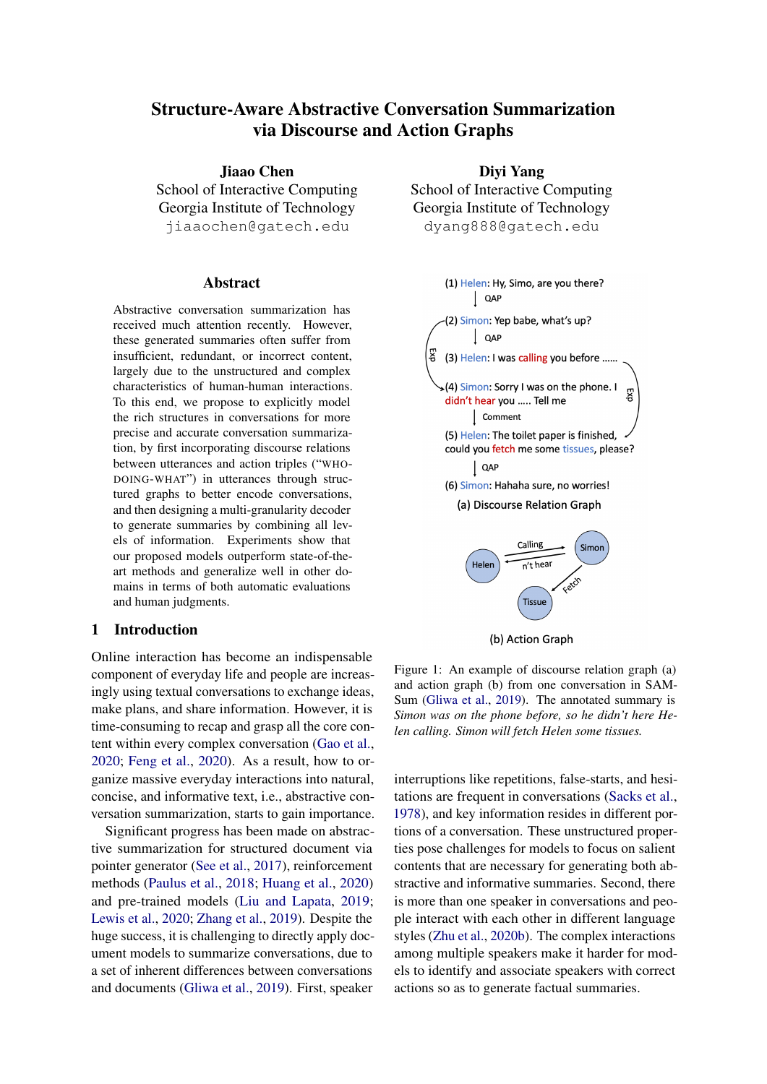# Structure-Aware Abstractive Conversation Summarization via Discourse and Action Graphs

Jiaao Chen School of Interactive Computing Georgia Institute of Technology jiaaochen@gatech.edu

#### **Abstract**

Abstractive conversation summarization has received much attention recently. However, these generated summaries often suffer from insufficient, redundant, or incorrect content, largely due to the unstructured and complex characteristics of human-human interactions. To this end, we propose to explicitly model the rich structures in conversations for more precise and accurate conversation summarization, by first incorporating discourse relations between utterances and action triples ("WHO-DOING-WHAT") in utterances through structured graphs to better encode conversations, and then designing a multi-granularity decoder to generate summaries by combining all levels of information. Experiments show that our proposed models outperform state-of-theart methods and generalize well in other domains in terms of both automatic evaluations and human judgments.

### 1 Introduction

Online interaction has become an indispensable component of everyday life and people are increasingly using textual conversations to exchange ideas, make plans, and share information. However, it is time-consuming to recap and grasp all the core content within every complex conversation [\(Gao et al.,](#page-8-0) [2020;](#page-8-0) [Feng et al.,](#page-8-1) [2020\)](#page-8-1). As a result, how to organize massive everyday interactions into natural, concise, and informative text, i.e., abstractive conversation summarization, starts to gain importance.

Significant progress has been made on abstractive summarization for structured document via pointer generator [\(See et al.,](#page-10-0) [2017\)](#page-10-0), reinforcement methods [\(Paulus et al.,](#page-9-0) [2018;](#page-9-0) [Huang et al.,](#page-9-1) [2020\)](#page-9-1) and pre-trained models [\(Liu and Lapata,](#page-9-2) [2019;](#page-9-2) [Lewis et al.,](#page-9-3) [2020;](#page-9-3) [Zhang et al.,](#page-10-1) [2019\)](#page-10-1). Despite the huge success, it is challenging to directly apply document models to summarize conversations, due to a set of inherent differences between conversations and documents [\(Gliwa et al.,](#page-8-2) [2019\)](#page-8-2). First, speaker

Diyi Yang School of Interactive Computing Georgia Institute of Technology dyang888@gatech.edu

<span id="page-0-0"></span>

Figure 1: An example of discourse relation graph (a) and action graph (b) from one conversation in SAM-Sum [\(Gliwa et al.,](#page-8-2) [2019\)](#page-8-2). The annotated summary is *Simon was on the phone before, so he didn't here Helen calling. Simon will fetch Helen some tissues.*

interruptions like repetitions, false-starts, and hesitations are frequent in conversations [\(Sacks et al.,](#page-10-2) [1978\)](#page-10-2), and key information resides in different portions of a conversation. These unstructured properties pose challenges for models to focus on salient contents that are necessary for generating both abstractive and informative summaries. Second, there is more than one speaker in conversations and people interact with each other in different language styles [\(Zhu et al.,](#page-10-3) [2020b\)](#page-10-3). The complex interactions among multiple speakers make it harder for models to identify and associate speakers with correct actions so as to generate factual summaries.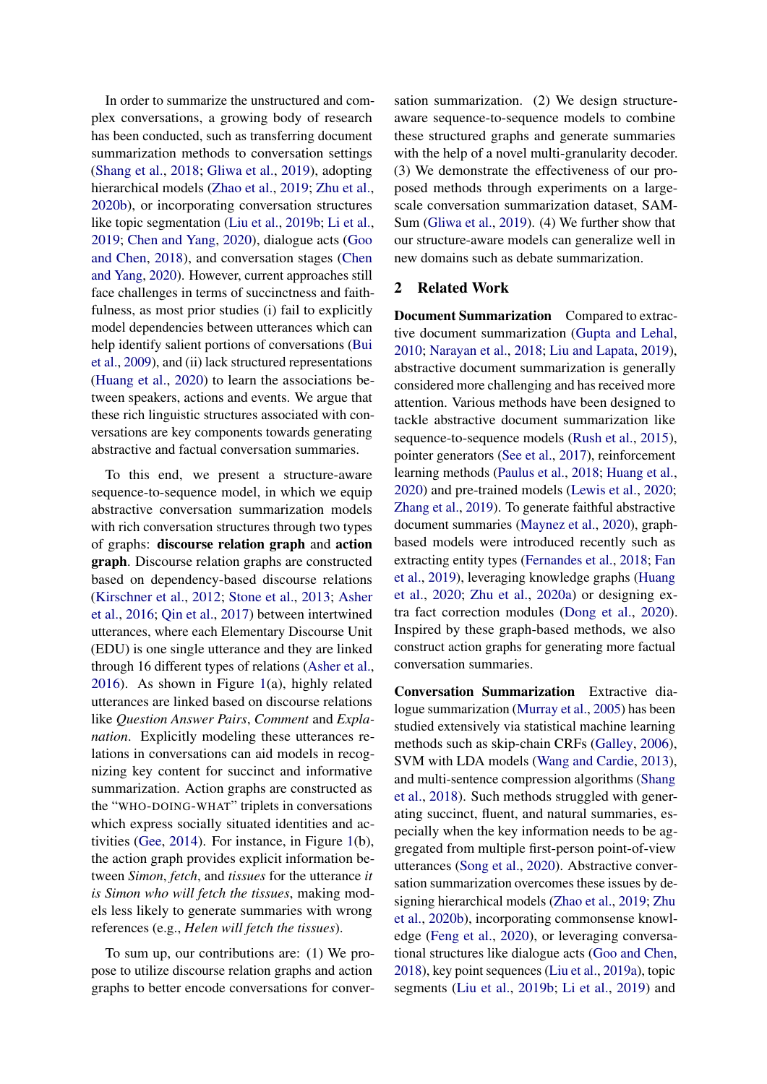In order to summarize the unstructured and complex conversations, a growing body of research has been conducted, such as transferring document summarization methods to conversation settings [\(Shang et al.,](#page-10-4) [2018;](#page-10-4) [Gliwa et al.,](#page-8-2) [2019\)](#page-8-2), adopting hierarchical models [\(Zhao et al.,](#page-10-5) [2019;](#page-10-5) [Zhu et al.,](#page-10-3) [2020b\)](#page-10-3), or incorporating conversation structures like topic segmentation [\(Liu et al.,](#page-9-4) [2019b;](#page-9-4) [Li et al.,](#page-9-5) [2019;](#page-9-5) [Chen and Yang,](#page-8-3) [2020\)](#page-8-3), dialogue acts [\(Goo](#page-8-4) [and Chen,](#page-8-4) [2018\)](#page-8-4), and conversation stages [\(Chen](#page-8-3) [and Yang,](#page-8-3) [2020\)](#page-8-3). However, current approaches still face challenges in terms of succinctness and faithfulness, as most prior studies (i) fail to explicitly model dependencies between utterances which can help identify salient portions of conversations [\(Bui](#page-8-5) [et al.,](#page-8-5) [2009\)](#page-8-5), and (ii) lack structured representations [\(Huang et al.,](#page-9-1) [2020\)](#page-9-1) to learn the associations between speakers, actions and events. We argue that these rich linguistic structures associated with conversations are key components towards generating abstractive and factual conversation summaries.

To this end, we present a structure-aware sequence-to-sequence model, in which we equip abstractive conversation summarization models with rich conversation structures through two types of graphs: discourse relation graph and action graph. Discourse relation graphs are constructed based on dependency-based discourse relations [\(Kirschner et al.,](#page-9-6) [2012;](#page-9-6) [Stone et al.,](#page-10-6) [2013;](#page-10-6) [Asher](#page-8-6) [et al.,](#page-8-6) [2016;](#page-8-6) [Qin et al.,](#page-10-7) [2017\)](#page-10-7) between intertwined utterances, where each Elementary Discourse Unit (EDU) is one single utterance and they are linked through 16 different types of relations [\(Asher et al.,](#page-8-6) [2016\)](#page-8-6). As shown in Figure [1\(](#page-0-0)a), highly related utterances are linked based on discourse relations like *Question Answer Pairs*, *Comment* and *Explanation*. Explicitly modeling these utterances relations in conversations can aid models in recognizing key content for succinct and informative summarization. Action graphs are constructed as the "WHO-DOING-WHAT" triplets in conversations which express socially situated identities and activities [\(Gee,](#page-8-7) [2014\)](#page-8-7). For instance, in Figure [1\(](#page-0-0)b), the action graph provides explicit information between *Simon*, *fetch*, and *tissues* for the utterance *it is Simon who will fetch the tissues*, making models less likely to generate summaries with wrong references (e.g., *Helen will fetch the tissues*).

To sum up, our contributions are: (1) We propose to utilize discourse relation graphs and action graphs to better encode conversations for conversation summarization. (2) We design structureaware sequence-to-sequence models to combine these structured graphs and generate summaries with the help of a novel multi-granularity decoder. (3) We demonstrate the effectiveness of our proposed methods through experiments on a largescale conversation summarization dataset, SAM-Sum [\(Gliwa et al.,](#page-8-2) [2019\)](#page-8-2). (4) We further show that our structure-aware models can generalize well in new domains such as debate summarization.

### 2 Related Work

Document Summarization Compared to extractive document summarization [\(Gupta and Lehal,](#page-8-8) [2010;](#page-8-8) [Narayan et al.,](#page-9-7) [2018;](#page-9-7) [Liu and Lapata,](#page-9-2) [2019\)](#page-9-2), abstractive document summarization is generally considered more challenging and has received more attention. Various methods have been designed to tackle abstractive document summarization like sequence-to-sequence models [\(Rush et al.,](#page-10-8) [2015\)](#page-10-8), pointer generators [\(See et al.,](#page-10-0) [2017\)](#page-10-0), reinforcement learning methods [\(Paulus et al.,](#page-9-0) [2018;](#page-9-0) [Huang et al.,](#page-9-1) [2020\)](#page-9-1) and pre-trained models [\(Lewis et al.,](#page-9-3) [2020;](#page-9-3) [Zhang et al.,](#page-10-1) [2019\)](#page-10-1). To generate faithful abstractive document summaries [\(Maynez et al.,](#page-9-8) [2020\)](#page-9-8), graphbased models were introduced recently such as extracting entity types [\(Fernandes et al.,](#page-8-9) [2018;](#page-8-9) [Fan](#page-8-10) [et al.,](#page-8-10) [2019\)](#page-8-10), leveraging knowledge graphs [\(Huang](#page-9-1) [et al.,](#page-9-1) [2020;](#page-9-1) [Zhu et al.,](#page-10-9) [2020a\)](#page-10-9) or designing extra fact correction modules [\(Dong et al.,](#page-8-11) [2020\)](#page-8-11). Inspired by these graph-based methods, we also construct action graphs for generating more factual conversation summaries.

Conversation Summarization Extractive dialogue summarization [\(Murray et al.,](#page-9-9) [2005\)](#page-9-9) has been studied extensively via statistical machine learning methods such as skip-chain CRFs [\(Galley,](#page-8-12) [2006\)](#page-8-12), SVM with LDA models [\(Wang and Cardie,](#page-10-10) [2013\)](#page-10-10), and multi-sentence compression algorithms [\(Shang](#page-10-4) [et al.,](#page-10-4) [2018\)](#page-10-4). Such methods struggled with generating succinct, fluent, and natural summaries, especially when the key information needs to be aggregated from multiple first-person point-of-view utterances [\(Song et al.,](#page-10-11) [2020\)](#page-10-11). Abstractive conversation summarization overcomes these issues by designing hierarchical models [\(Zhao et al.,](#page-10-5) [2019;](#page-10-5) [Zhu](#page-10-3) [et al.,](#page-10-3) [2020b\)](#page-10-3), incorporating commonsense knowledge [\(Feng et al.,](#page-8-1) [2020\)](#page-8-1), or leveraging conversational structures like dialogue acts [\(Goo and Chen,](#page-8-4) [2018\)](#page-8-4), key point sequences [\(Liu et al.,](#page-9-10) [2019a\)](#page-9-10), topic segments [\(Liu et al.,](#page-9-4) [2019b;](#page-9-4) [Li et al.,](#page-9-5) [2019\)](#page-9-5) and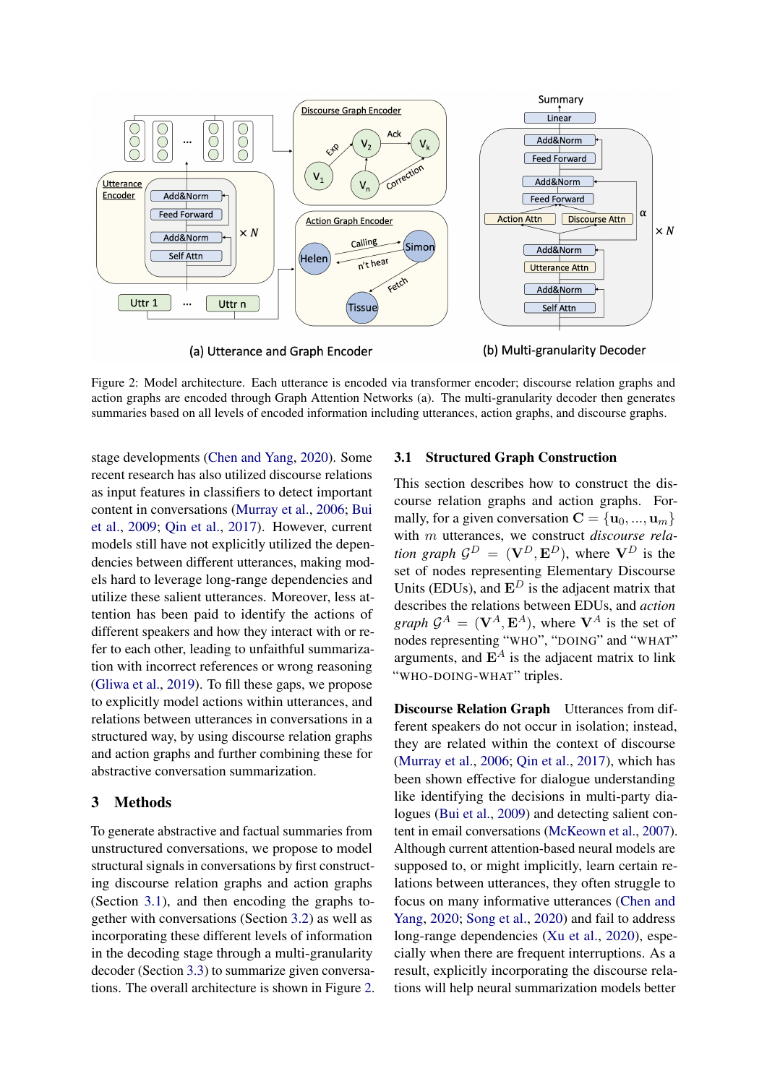<span id="page-2-1"></span>

(a) Utterance and Graph Encoder

(b) Multi-granularity Decoder

Figure 2: Model architecture. Each utterance is encoded via transformer encoder; discourse relation graphs and action graphs are encoded through Graph Attention Networks (a). The multi-granularity decoder then generates summaries based on all levels of encoded information including utterances, action graphs, and discourse graphs.

stage developments [\(Chen and Yang,](#page-8-3) [2020\)](#page-8-3). Some recent research has also utilized discourse relations as input features in classifiers to detect important content in conversations [\(Murray et al.,](#page-9-11) [2006;](#page-9-11) [Bui](#page-8-5) [et al.,](#page-8-5) [2009;](#page-8-5) [Qin et al.,](#page-10-7) [2017\)](#page-10-7). However, current models still have not explicitly utilized the dependencies between different utterances, making models hard to leverage long-range dependencies and utilize these salient utterances. Moreover, less attention has been paid to identify the actions of different speakers and how they interact with or refer to each other, leading to unfaithful summarization with incorrect references or wrong reasoning [\(Gliwa et al.,](#page-8-2) [2019\)](#page-8-2). To fill these gaps, we propose to explicitly model actions within utterances, and relations between utterances in conversations in a structured way, by using discourse relation graphs and action graphs and further combining these for abstractive conversation summarization.

# 3 Methods

To generate abstractive and factual summaries from unstructured conversations, we propose to model structural signals in conversations by first constructing discourse relation graphs and action graphs (Section [3.1\)](#page-2-0), and then encoding the graphs together with conversations (Section [3.2\)](#page-3-0) as well as incorporating these different levels of information in the decoding stage through a multi-granularity decoder (Section [3.3\)](#page-4-0) to summarize given conversations. The overall architecture is shown in Figure [2.](#page-2-1)

# <span id="page-2-0"></span>3.1 Structured Graph Construction

This section describes how to construct the discourse relation graphs and action graphs. Formally, for a given conversation  $\mathbf{C} = {\mathbf{u}_0, ..., \mathbf{u}_m}$ with m utterances, we construct *discourse relation graph*  $G^D = (\mathbf{V}^D, \mathbf{E}^D)$ , where  $\mathbf{V}^D$  is the set of nodes representing Elementary Discourse Units (EDUs), and  $\mathbf{E}^{D}$  is the adjacent matrix that describes the relations between EDUs, and *action graph*  $\mathcal{G}^A = (\mathbf{V}^A, \mathbf{E}^A)$ , where  $\mathbf{V}^A$  is the set of nodes representing "WHO", "DOING" and "WHAT" arguments, and  $\mathbf{E}^{A}$  is the adjacent matrix to link "WHO-DOING-WHAT" triples.

Discourse Relation Graph Utterances from different speakers do not occur in isolation; instead, they are related within the context of discourse [\(Murray et al.,](#page-9-11) [2006;](#page-9-11) [Qin et al.,](#page-10-7) [2017\)](#page-10-7), which has been shown effective for dialogue understanding like identifying the decisions in multi-party dialogues [\(Bui et al.,](#page-8-5) [2009\)](#page-8-5) and detecting salient content in email conversations [\(McKeown et al.,](#page-9-12) [2007\)](#page-9-12). Although current attention-based neural models are supposed to, or might implicitly, learn certain relations between utterances, they often struggle to focus on many informative utterances [\(Chen and](#page-8-3) [Yang,](#page-8-3) [2020;](#page-8-3) [Song et al.,](#page-10-11) [2020\)](#page-10-11) and fail to address long-range dependencies [\(Xu et al.,](#page-10-12) [2020\)](#page-10-12), especially when there are frequent interruptions. As a result, explicitly incorporating the discourse relations will help neural summarization models better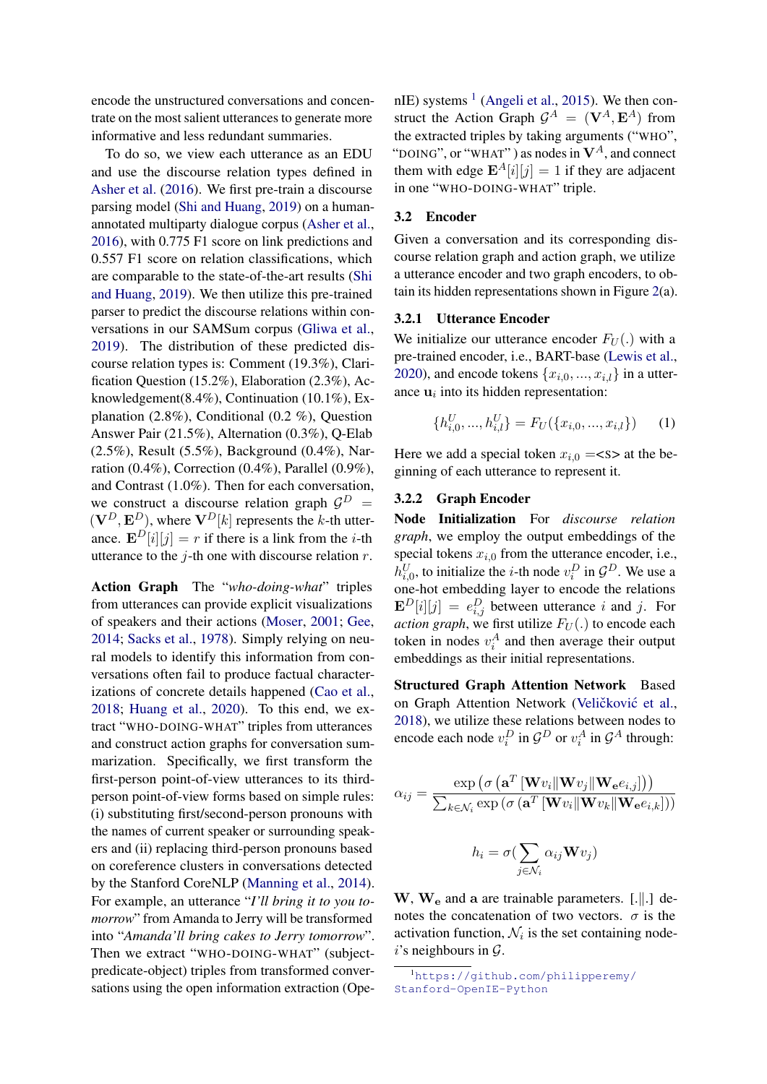encode the unstructured conversations and concentrate on the most salient utterances to generate more informative and less redundant summaries.

To do so, we view each utterance as an EDU and use the discourse relation types defined in [Asher et al.](#page-8-6) [\(2016\)](#page-8-6). We first pre-train a discourse parsing model [\(Shi and Huang,](#page-10-13) [2019\)](#page-10-13) on a humanannotated multiparty dialogue corpus [\(Asher et al.,](#page-8-6) [2016\)](#page-8-6), with 0.775 F1 score on link predictions and 0.557 F1 score on relation classifications, which are comparable to the state-of-the-art results [\(Shi](#page-10-13) [and Huang,](#page-10-13) [2019\)](#page-10-13). We then utilize this pre-trained parser to predict the discourse relations within conversations in our SAMSum corpus [\(Gliwa et al.,](#page-8-2) [2019\)](#page-8-2). The distribution of these predicted discourse relation types is: Comment (19.3%), Clarification Question (15.2%), Elaboration (2.3%), Acknowledgement(8.4%), Continuation (10.1%), Explanation (2.8%), Conditional (0.2 %), Question Answer Pair (21.5%), Alternation (0.3%), Q-Elab (2.5%), Result (5.5%), Background (0.4%), Narration  $(0.4\%)$ , Correction  $(0.4\%)$ , Parallel  $(0.9\%)$ , and Contrast (1.0%). Then for each conversation, we construct a discourse relation graph  $\mathcal{G}^D$  =  $(\mathbf{V}^D, \mathbf{E}^D)$ , where  $\mathbf{V}^D[k]$  represents the k-th utterance.  $\mathbf{E}^{D}[i][j] = r$  if there is a link from the *i*-th utterance to the  $j$ -th one with discourse relation  $r$ .

Action Graph The "*who-doing-what*" triples from utterances can provide explicit visualizations of speakers and their actions [\(Moser,](#page-9-13) [2001;](#page-9-13) [Gee,](#page-8-7) [2014;](#page-8-7) [Sacks et al.,](#page-10-2) [1978\)](#page-10-2). Simply relying on neural models to identify this information from conversations often fail to produce factual characterizations of concrete details happened [\(Cao et al.,](#page-8-13) [2018;](#page-8-13) [Huang et al.,](#page-9-1) [2020\)](#page-9-1). To this end, we extract "WHO-DOING-WHAT" triples from utterances and construct action graphs for conversation summarization. Specifically, we first transform the first-person point-of-view utterances to its thirdperson point-of-view forms based on simple rules: (i) substituting first/second-person pronouns with the names of current speaker or surrounding speakers and (ii) replacing third-person pronouns based on coreference clusters in conversations detected by the Stanford CoreNLP [\(Manning et al.,](#page-9-14) [2014\)](#page-9-14). For example, an utterance "*I'll bring it to you tomorrow*" from Amanda to Jerry will be transformed into "*Amanda'll bring cakes to Jerry tomorrow*". Then we extract "WHO-DOING-WHAT" (subjectpredicate-object) triples from transformed conversations using the open information extraction (Ope-

nIE) systems  $<sup>1</sup>$  $<sup>1</sup>$  $<sup>1</sup>$  [\(Angeli et al.,](#page-8-14) [2015\)](#page-8-14). We then con-</sup> struct the Action Graph  $\mathcal{G}^A = (\mathbf{V}^A, \mathbf{E}^A)$  from the extracted triples by taking arguments ("WHO", "DOING", or "WHAT") as nodes in  $V^A$ , and connect them with edge  $\mathbf{E}^{A}[i][j] = 1$  if they are adjacent in one "WHO-DOING-WHAT" triple.

#### <span id="page-3-0"></span>3.2 Encoder

Given a conversation and its corresponding discourse relation graph and action graph, we utilize a utterance encoder and two graph encoders, to obtain its hidden representations shown in Figure [2\(](#page-2-1)a).

### 3.2.1 Utterance Encoder

We initialize our utterance encoder  $F_U(.)$  with a pre-trained encoder, i.e., BART-base [\(Lewis et al.,](#page-9-3) [2020\)](#page-9-3), and encode tokens  $\{x_{i,0},...,x_{i,l}\}\$ in a utterance  $\mathbf{u}_i$  into its hidden representation:

$$
\{h_{i,0}^U, ..., h_{i,l}^U\} = F_U(\{x_{i,0}, ..., x_{i,l}\})
$$
 (1)

Here we add a special token  $x_{i,0} =$ <s> at the beginning of each utterance to represent it.

### 3.2.2 Graph Encoder

Node Initialization For *discourse relation graph*, we employ the output embeddings of the special tokens  $x_{i,0}$  from the utterance encoder, i.e.,  $h_{i,0}^U$ , to initialize the *i*-th node  $v_i^D$  in  $\mathcal{G}^D$ . We use a one-hot embedding layer to encode the relations  $\mathbf{E}^{D}[i][j] = e_{i,j}^{D}$  between utterance i and j. For *action graph*, we first utilize  $F_U(.)$  to encode each token in nodes  $v_i^A$  and then average their output embeddings as their initial representations.

Structured Graph Attention Network Based on Graph Attention Network (Veličković et al., [2018\)](#page-10-14), we utilize these relations between nodes to encode each node  $v_i^D$  in  $\mathcal{G}^D$  or  $v_i^A$  in  $\mathcal{G}^A$  through:

$$
\alpha_{ij} = \frac{\exp\left(\sigma\left(\mathbf{a}^T \left[\mathbf{W} v_i \|\mathbf{W} v_j\|\mathbf{W_e} e_{i,j}\right]\right)\right)}{\sum_{k \in \mathcal{N}_i} \exp\left(\sigma\left(\mathbf{a}^T \left[\mathbf{W} v_i \|\mathbf{W} v_k\|\mathbf{W_e} e_{i,k}\right]\right)\right)}
$$

$$
h_i = \sigma(\sum \alpha_{ii} \mathbf{W} v_i)
$$

$$
h_i = \sigma(\sum_{j \in \mathcal{N}_i} \alpha_{ij} \mathbf{W} v_j)
$$

 $W$ ,  $W_e$  and a are trainable parameters. [.||.] denotes the concatenation of two vectors.  $\sigma$  is the activation function,  $\mathcal{N}_i$  is the set containing node $i$ 's neighbours in  $\mathcal{G}$ .

<span id="page-3-1"></span><sup>1</sup>[https://github.com/philipperemy/](https://github.com/philipperemy/Stanford-OpenIE-Python) [Stanford-OpenIE-Python](https://github.com/philipperemy/Stanford-OpenIE-Python)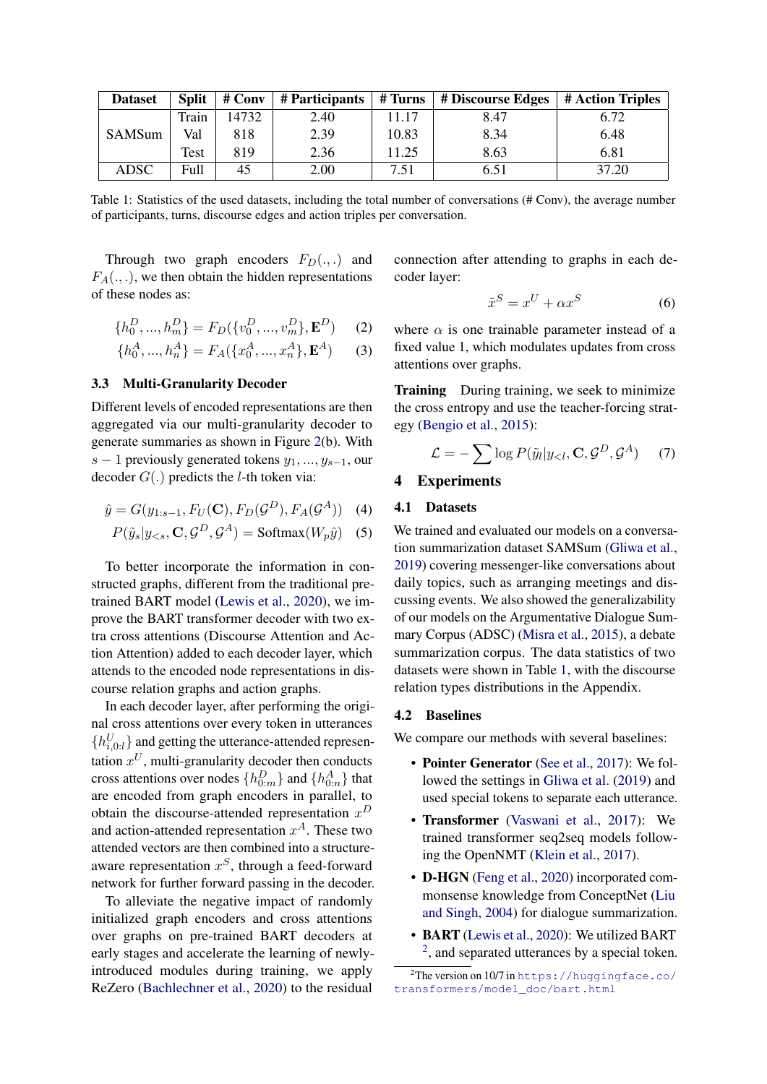<span id="page-4-1"></span>

| <b>Dataset</b> |       | Split $\parallel$ # Conv | $\#$ Participants $\ $ | # Turns | $\pm$ # Discourse Edges $\pm$ # Action Triples $\pm$ |       |
|----------------|-------|--------------------------|------------------------|---------|------------------------------------------------------|-------|
|                | Train | 14732                    | 2.40                   | 11.17   | 8.47                                                 | 6.72  |
| SAMSum         | Val   | 818                      | 2.39                   | 10.83   | 8.34                                                 | 6.48  |
|                | Test  | 819                      | 2.36                   | 11.25   | 8.63                                                 | 6.81  |
| ADSC           | Full  | 45                       | 2.00                   | 7.51    | 6.51                                                 | 37.20 |

Table 1: Statistics of the used datasets, including the total number of conversations (# Conv), the average number of participants, turns, discourse edges and action triples per conversation.

Through two graph encoders  $F_D(.,.)$  and  $F_A(., .),$  we then obtain the hidden representations of these nodes as:

$$
\{h_0^D, ..., h_m^D\} = F_D(\{v_0^D, ..., v_m^D\}, \mathbf{E}^D)
$$
 (2)

$$
\{h_0^A, ..., h_n^A\} = F_A(\{x_0^A, ..., x_n^A\}, \mathbf{E}^A)
$$
 (3)

# <span id="page-4-0"></span>3.3 Multi-Granularity Decoder

Different levels of encoded representations are then aggregated via our multi-granularity decoder to generate summaries as shown in Figure [2\(](#page-2-1)b). With s − 1 previously generated tokens  $y_1, ..., y_{s-1}$ , our decoder  $G(.)$  predicts the *l*-th token via:

$$
\hat{y} = G(y_{1:s-1}, F_U(\mathbf{C}), F_D(\mathcal{G}^D), F_A(\mathcal{G}^A)) \quad (4)
$$

$$
P(\tilde{y}_s|y_{< s}, \mathbf{C}, \mathcal{G}^D, \mathcal{G}^A) = \text{Softmax}(W_p \hat{y})
$$
 (5)

To better incorporate the information in constructed graphs, different from the traditional pretrained BART model [\(Lewis et al.,](#page-9-3) [2020\)](#page-9-3), we improve the BART transformer decoder with two extra cross attentions (Discourse Attention and Action Attention) added to each decoder layer, which attends to the encoded node representations in discourse relation graphs and action graphs.

In each decoder layer, after performing the original cross attentions over every token in utterances  ${h_{i,0:l}^U}$  and getting the utterance-attended representation  $x^U$ , multi-granularity decoder then conducts cross attentions over nodes  $\{h_{0:m}^D\}$  and  $\{h_{0:n}^A\}$  that are encoded from graph encoders in parallel, to obtain the discourse-attended representation  $x^D$ and action-attended representation  $x^A$ . These two attended vectors are then combined into a structureaware representation  $x^S$ , through a feed-forward network for further forward passing in the decoder.

To alleviate the negative impact of randomly initialized graph encoders and cross attentions over graphs on pre-trained BART decoders at early stages and accelerate the learning of newlyintroduced modules during training, we apply ReZero [\(Bachlechner et al.,](#page-8-15) [2020\)](#page-8-15) to the residual

connection after attending to graphs in each decoder layer:

$$
\tilde{x}^S = x^U + \alpha x^S \tag{6}
$$

where  $\alpha$  is one trainable parameter instead of a fixed value 1, which modulates updates from cross attentions over graphs.

**Training** During training, we seek to minimize the cross entropy and use the teacher-forcing strategy [\(Bengio et al.,](#page-8-16) [2015\)](#page-8-16):

$$
\mathcal{L} = -\sum \log P(\tilde{y}_l | y_{\leq l}, \mathbf{C}, \mathcal{G}^D, \mathcal{G}^A)
$$
 (7)

# 4 Experiments

# 4.1 Datasets

We trained and evaluated our models on a conversation summarization dataset SAMSum [\(Gliwa et al.,](#page-8-2) [2019\)](#page-8-2) covering messenger-like conversations about daily topics, such as arranging meetings and discussing events. We also showed the generalizability of our models on the Argumentative Dialogue Summary Corpus (ADSC) [\(Misra et al.,](#page-9-15) [2015\)](#page-9-15), a debate summarization corpus. The data statistics of two datasets were shown in Table [1,](#page-4-1) with the discourse relation types distributions in the Appendix.

#### 4.2 Baselines

We compare our methods with several baselines:

- Pointer Generator [\(See et al.,](#page-10-0) [2017\)](#page-10-0): We followed the settings in [Gliwa et al.](#page-8-2) [\(2019\)](#page-8-2) and used special tokens to separate each utterance.
- Transformer [\(Vaswani et al.,](#page-10-15) [2017\)](#page-10-15): We trained transformer seq2seq models following the OpenNMT [\(Klein et al.,](#page-9-16) [2017\)](#page-9-16).
- **D-HGN** [\(Feng et al.,](#page-8-1) [2020\)](#page-8-1) incorporated commonsense knowledge from ConceptNet [\(Liu](#page-9-17) [and Singh,](#page-9-17) [2004\)](#page-9-17) for dialogue summarization.
- BART [\(Lewis et al.,](#page-9-3) [2020\)](#page-9-3): We utilized BART <sup>[2](#page-4-2)</sup>, and separated utterances by a special token.

<span id="page-4-2"></span> $2$ The version on 10/7 in [https://huggingface.co/](https://huggingface.co/transformers/model_doc/bart.html) [transformers/model\\_doc/bart.html](https://huggingface.co/transformers/model_doc/bart.html)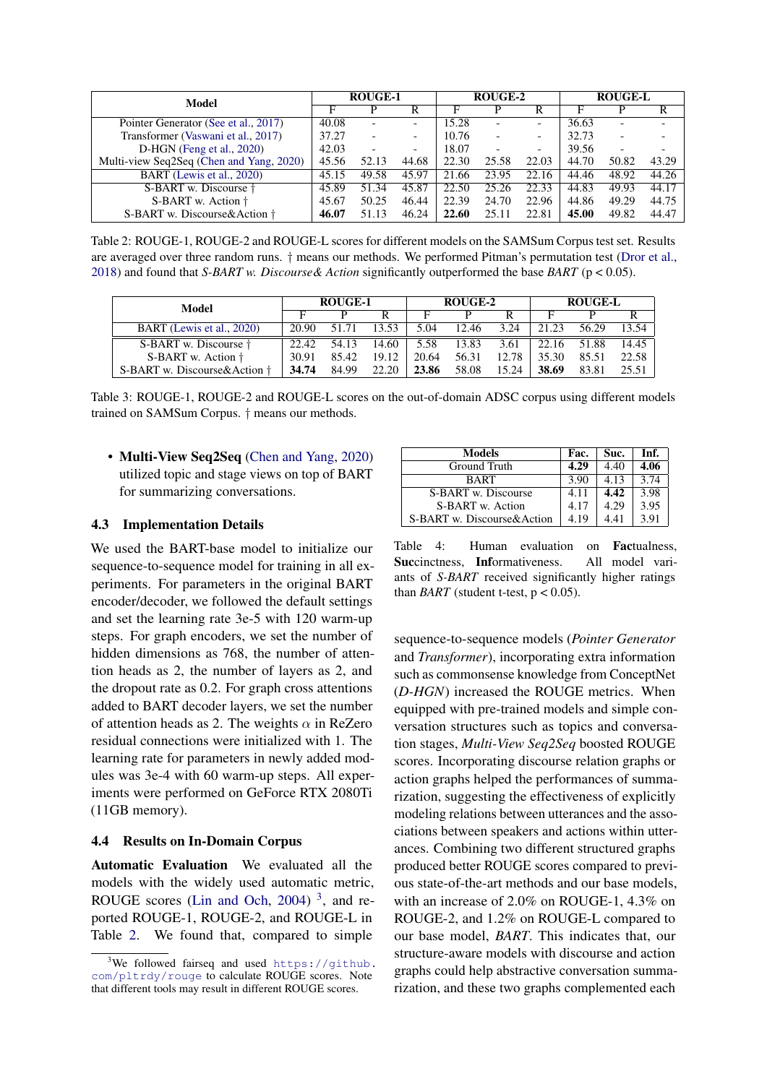<span id="page-5-1"></span>

| Model                                    | <b>ROUGE-1</b> |       |                          | ROUGE-2 |                          |                          | <b>ROUGE-L</b> |       |       |
|------------------------------------------|----------------|-------|--------------------------|---------|--------------------------|--------------------------|----------------|-------|-------|
|                                          | F              |       |                          | F       |                          | R                        | F              |       |       |
| Pointer Generator (See et al., 2017)     | 40.08          |       | -                        | 15.28   | $\overline{\phantom{0}}$ | -                        | 36.63          | ۰     |       |
| Transformer (Vaswani et al., 2017)       |                |       | $\overline{\phantom{0}}$ | 10.76   | $\overline{\phantom{0}}$ | $\overline{\phantom{0}}$ | 32.73          |       |       |
| D-HGN (Feng et al., 2020)                |                |       |                          | 18.07   | $\overline{\phantom{0}}$ | $\overline{\phantom{a}}$ | 39.56          |       |       |
| Multi-view Seq2Seq (Chen and Yang, 2020) | 45.56          | 52.13 | 44.68                    | 22.30   | 25.58                    | 22.03                    | 44.70          | 50.82 | 43.29 |
| BART (Lewis et al., 2020)                | 45.15          | 49.58 | 45.97                    | 21.66   | 23.95                    | 22.16                    | 44.46          | 48.92 | 44.26 |
| S-BART w. Discourse +                    | 45.89          | 51.34 | 45.87                    | 22.50   | 25.26                    | 22.33                    | 44.83          | 49.93 | 44.17 |
| S-BART w. Action †                       | 45.67          | 50.25 | 46.44                    | 22.39   | 24.70                    | 22.96                    | 44.86          | 49.29 | 44.75 |
| S-BART w. Discourse&Action †             | 46.07          | 51.13 | 46.24                    | 22.60   | 25.11                    | 22.81                    | 45.00          | 49.82 | 44.47 |

Table 2: ROUGE-1, ROUGE-2 and ROUGE-L scores for different models on the SAMSum Corpus test set. Results are averaged over three random runs. † means our methods. We performed Pitman's permutation test [\(Dror et al.,](#page-8-17) [2018\)](#page-8-17) and found that *S-BART w. Discourse& Action* significantly outperformed the base *BART* (p < 0.05).

<span id="page-5-3"></span>

| Model                        | <b>ROUGE-1</b> |       |       | ROUGE-2 |       |       | <b>ROUGE-L</b> |       |       |
|------------------------------|----------------|-------|-------|---------|-------|-------|----------------|-------|-------|
|                              |                |       |       | н       |       |       | н              | p     |       |
| BART (Lewis et al., 2020)    | 20.90          | 51.71 | 13.53 | 5.04    | 12.46 | 3.24  | 21.23          | 56.29 | 13.54 |
| S-BART w. Discourse †        | 22.42          | 54.13 | 14.60 | 5.58    | 13.83 | 3.61  | 22.16          | 51.88 | 14.45 |
| S-BART w. Action †           | 30.91          | 85.42 | 19.12 | 20.64   | 56.31 | 12.78 | 35.30          | 85.51 | 22.58 |
| S-BART w. Discourse&Action † | 34.74          | 84.99 | 22.20 | 23.86   | 58.08 | 15.24 | 38.69          | 83.81 | 25.51 |

Table 3: ROUGE-1, ROUGE-2 and ROUGE-L scores on the out-of-domain ADSC corpus using different models trained on SAMSum Corpus. † means our methods.

• Multi-View Seq2Seq [\(Chen and Yang,](#page-8-3) [2020\)](#page-8-3) utilized topic and stage views on top of BART for summarizing conversations.

### 4.3 Implementation Details

We used the BART-base model to initialize our sequence-to-sequence model for training in all experiments. For parameters in the original BART encoder/decoder, we followed the default settings and set the learning rate 3e-5 with 120 warm-up steps. For graph encoders, we set the number of hidden dimensions as 768, the number of attention heads as 2, the number of layers as 2, and the dropout rate as 0.2. For graph cross attentions added to BART decoder layers, we set the number of attention heads as 2. The weights  $\alpha$  in ReZero residual connections were initialized with 1. The learning rate for parameters in newly added modules was 3e-4 with 60 warm-up steps. All experiments were performed on GeForce RTX 2080Ti (11GB memory).

### 4.4 Results on In-Domain Corpus

Automatic Evaluation We evaluated all the models with the widely used automatic metric, ROUGE scores [\(Lin and Och,](#page-9-18) [2004\)](#page-9-18)  $3$ , and reported ROUGE-1, ROUGE-2, and ROUGE-L in Table [2.](#page-5-1) We found that, compared to simple

<span id="page-5-2"></span>

| Models                     | Fac. | Suc. | Inf. |
|----------------------------|------|------|------|
| Ground Truth               | 4.29 | 4.40 | 4.06 |
| <b>BART</b>                | 3.90 | 4.13 | 3.74 |
| S-BART w. Discourse        | 4.11 | 4.42 | 3.98 |
| S-BART w. Action           | 4.17 | 4.29 | 3.95 |
| S-BART w. Discourse&Action | 4.19 | 4.41 | 3.91 |

Table 4: Human evaluation on Factualness, Succinctness, Informativeness. All model variants of *S-BART* received significantly higher ratings than *BART* (student t-test,  $p < 0.05$ ).

sequence-to-sequence models (*Pointer Generator* and *Transformer*), incorporating extra information such as commonsense knowledge from ConceptNet (*D-HGN*) increased the ROUGE metrics. When equipped with pre-trained models and simple conversation structures such as topics and conversation stages, *Multi-View Seq2Seq* boosted ROUGE scores. Incorporating discourse relation graphs or action graphs helped the performances of summarization, suggesting the effectiveness of explicitly modeling relations between utterances and the associations between speakers and actions within utterances. Combining two different structured graphs produced better ROUGE scores compared to previous state-of-the-art methods and our base models, with an increase of 2.0% on ROUGE-1, 4.3% on ROUGE-2, and 1.2% on ROUGE-L compared to our base model, *BART*. This indicates that, our structure-aware models with discourse and action graphs could help abstractive conversation summarization, and these two graphs complemented each

<span id="page-5-0"></span> $3$ We followed fairseq and used [https://github.](https://github.com/pltrdy/rouge) [com/pltrdy/rouge](https://github.com/pltrdy/rouge) to calculate ROUGE scores. Note that different tools may result in different ROUGE scores.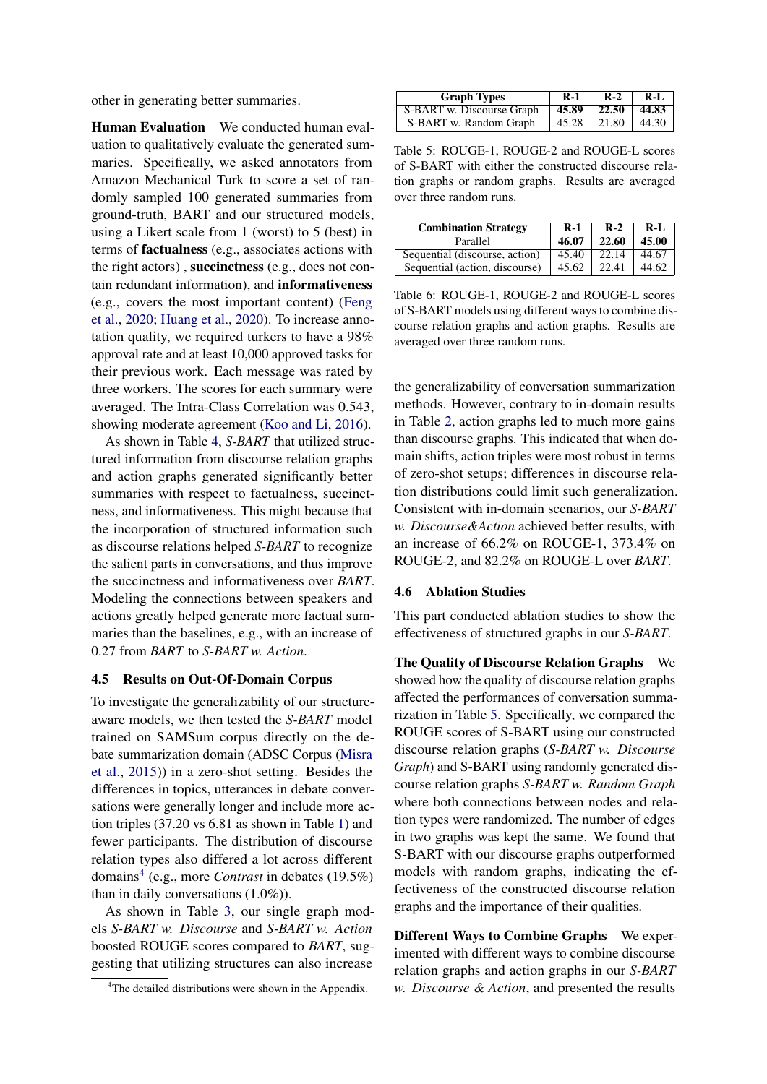other in generating better summaries.

Human Evaluation We conducted human evaluation to qualitatively evaluate the generated summaries. Specifically, we asked annotators from Amazon Mechanical Turk to score a set of randomly sampled 100 generated summaries from ground-truth, BART and our structured models, using a Likert scale from 1 (worst) to 5 (best) in terms of factualness (e.g., associates actions with the right actors) , succinctness (e.g., does not contain redundant information), and informativeness (e.g., covers the most important content) [\(Feng](#page-8-1) [et al.,](#page-8-1) [2020;](#page-8-1) [Huang et al.,](#page-9-1) [2020\)](#page-9-1). To increase annotation quality, we required turkers to have a 98% approval rate and at least 10,000 approved tasks for their previous work. Each message was rated by three workers. The scores for each summary were averaged. The Intra-Class Correlation was 0.543, showing moderate agreement [\(Koo and Li,](#page-9-19) [2016\)](#page-9-19).

As shown in Table [4,](#page-5-2) *S-BART* that utilized structured information from discourse relation graphs and action graphs generated significantly better summaries with respect to factualness, succinctness, and informativeness. This might because that the incorporation of structured information such as discourse relations helped *S-BART* to recognize the salient parts in conversations, and thus improve the succinctness and informativeness over *BART*. Modeling the connections between speakers and actions greatly helped generate more factual summaries than the baselines, e.g., with an increase of 0.27 from *BART* to *S-BART w. Action*.

#### 4.5 Results on Out-Of-Domain Corpus

To investigate the generalizability of our structureaware models, we then tested the *S-BART* model trained on SAMSum corpus directly on the debate summarization domain (ADSC Corpus [\(Misra](#page-9-15) [et al.,](#page-9-15) [2015\)](#page-9-15)) in a zero-shot setting. Besides the differences in topics, utterances in debate conversations were generally longer and include more action triples (37.20 vs 6.81 as shown in Table [1\)](#page-4-1) and fewer participants. The distribution of discourse relation types also differed a lot across different domains[4](#page-6-0) (e.g., more *Contrast* in debates (19.5%) than in daily conversations (1.0%)).

As shown in Table [3,](#page-5-3) our single graph models *S-BART w. Discourse* and *S-BART w. Action* boosted ROUGE scores compared to *BART*, suggesting that utilizing structures can also increase

<span id="page-6-1"></span>

| <b>Graph Types</b>                                | R-1 | $R-2$   R-L |
|---------------------------------------------------|-----|-------------|
| S-BART w. Discourse Graph   45.89   22.50   44.83 |     |             |
| S-BART w. Random Graph   45.28   21.80   44.30    |     |             |

Table 5: ROUGE-1, ROUGE-2 and ROUGE-L scores of S-BART with either the constructed discourse relation graphs or random graphs. Results are averaged over three random runs.

<span id="page-6-2"></span>

| <b>Combination Strategy</b>    | $R-1$ | $R-2$ | $R-I$ |
|--------------------------------|-------|-------|-------|
| Parallel                       | 46.07 | 22.60 | 45.00 |
| Sequential (discourse, action) | 45.40 | 22.14 | 44.67 |
| Sequential (action, discourse) | 45.62 | 22.41 | 44.62 |

Table 6: ROUGE-1, ROUGE-2 and ROUGE-L scores of S-BART models using different ways to combine discourse relation graphs and action graphs. Results are averaged over three random runs.

the generalizability of conversation summarization methods. However, contrary to in-domain results in Table [2,](#page-5-1) action graphs led to much more gains than discourse graphs. This indicated that when domain shifts, action triples were most robust in terms of zero-shot setups; differences in discourse relation distributions could limit such generalization. Consistent with in-domain scenarios, our *S-BART w. Discourse&Action* achieved better results, with an increase of 66.2% on ROUGE-1, 373.4% on ROUGE-2, and 82.2% on ROUGE-L over *BART*.

#### 4.6 Ablation Studies

This part conducted ablation studies to show the effectiveness of structured graphs in our *S-BART*.

The Quality of Discourse Relation Graphs We showed how the quality of discourse relation graphs affected the performances of conversation summarization in Table [5.](#page-6-1) Specifically, we compared the ROUGE scores of S-BART using our constructed discourse relation graphs (*S-BART w. Discourse Graph*) and S-BART using randomly generated discourse relation graphs *S-BART w. Random Graph* where both connections between nodes and relation types were randomized. The number of edges in two graphs was kept the same. We found that S-BART with our discourse graphs outperformed models with random graphs, indicating the effectiveness of the constructed discourse relation graphs and the importance of their qualities.

Different Ways to Combine Graphs We experimented with different ways to combine discourse relation graphs and action graphs in our *S-BART w. Discourse & Action*, and presented the results

<span id="page-6-0"></span><sup>&</sup>lt;sup>4</sup>The detailed distributions were shown in the Appendix.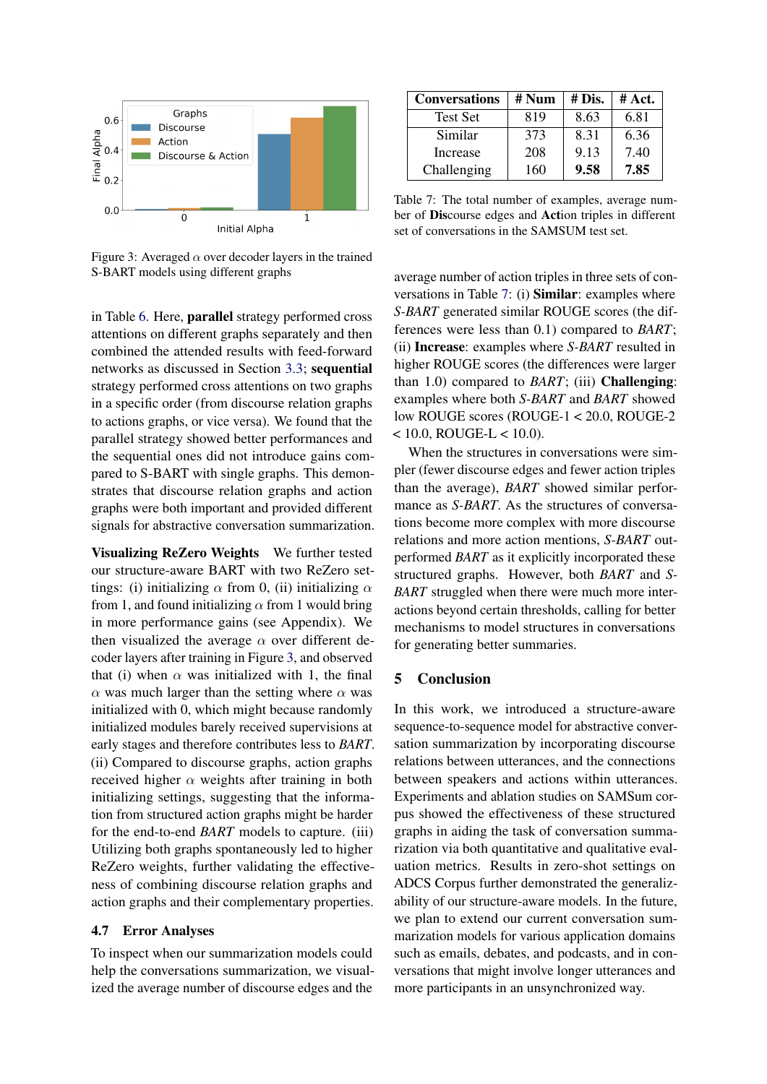<span id="page-7-0"></span>

Figure 3: Averaged  $\alpha$  over decoder layers in the trained S-BART models using different graphs

in Table [6.](#page-6-2) Here, parallel strategy performed cross attentions on different graphs separately and then combined the attended results with feed-forward networks as discussed in Section [3.3;](#page-4-0) sequential strategy performed cross attentions on two graphs in a specific order (from discourse relation graphs to actions graphs, or vice versa). We found that the parallel strategy showed better performances and the sequential ones did not introduce gains compared to S-BART with single graphs. This demonstrates that discourse relation graphs and action graphs were both important and provided different signals for abstractive conversation summarization.

Visualizing ReZero Weights We further tested our structure-aware BART with two ReZero settings: (i) initializing  $\alpha$  from 0, (ii) initializing  $\alpha$ from 1, and found initializing  $\alpha$  from 1 would bring in more performance gains (see Appendix). We then visualized the average  $\alpha$  over different decoder layers after training in Figure [3,](#page-7-0) and observed that (i) when  $\alpha$  was initialized with 1, the final  $\alpha$  was much larger than the setting where  $\alpha$  was initialized with 0, which might because randomly initialized modules barely received supervisions at early stages and therefore contributes less to *BART*. (ii) Compared to discourse graphs, action graphs received higher  $\alpha$  weights after training in both initializing settings, suggesting that the information from structured action graphs might be harder for the end-to-end *BART* models to capture. (iii) Utilizing both graphs spontaneously led to higher ReZero weights, further validating the effectiveness of combining discourse relation graphs and action graphs and their complementary properties.

### 4.7 Error Analyses

To inspect when our summarization models could help the conversations summarization, we visualized the average number of discourse edges and the

<span id="page-7-1"></span>

| <b>Conversations</b> | # Num | # Dis. | # Act. |  |
|----------------------|-------|--------|--------|--|
| <b>Test Set</b>      | 819   | 8.63   | 6.81   |  |
| Similar              | 373   | 8.31   | 6.36   |  |
| Increase             | 208   | 9.13   | 7.40   |  |
| Challenging          | 160   | 9.58   | 7.85   |  |

Table 7: The total number of examples, average number of Discourse edges and Action triples in different set of conversations in the SAMSUM test set.

average number of action triples in three sets of conversations in Table [7:](#page-7-1) (i) Similar: examples where *S-BART* generated similar ROUGE scores (the differences were less than 0.1) compared to *BART*; (ii) Increase: examples where *S-BART* resulted in higher ROUGE scores (the differences were larger than 1.0) compared to *BART*; (iii) Challenging: examples where both *S-BART* and *BART* showed low ROUGE scores (ROUGE-1 < 20.0, ROUGE-2  $< 10.0$ , ROUGE-L  $< 10.0$ ).

When the structures in conversations were simpler (fewer discourse edges and fewer action triples than the average), *BART* showed similar performance as *S-BART*. As the structures of conversations become more complex with more discourse relations and more action mentions, *S-BART* outperformed *BART* as it explicitly incorporated these structured graphs. However, both *BART* and *S-BART* struggled when there were much more interactions beyond certain thresholds, calling for better mechanisms to model structures in conversations for generating better summaries.

#### 5 Conclusion

In this work, we introduced a structure-aware sequence-to-sequence model for abstractive conversation summarization by incorporating discourse relations between utterances, and the connections between speakers and actions within utterances. Experiments and ablation studies on SAMSum corpus showed the effectiveness of these structured graphs in aiding the task of conversation summarization via both quantitative and qualitative evaluation metrics. Results in zero-shot settings on ADCS Corpus further demonstrated the generalizability of our structure-aware models. In the future, we plan to extend our current conversation summarization models for various application domains such as emails, debates, and podcasts, and in conversations that might involve longer utterances and more participants in an unsynchronized way.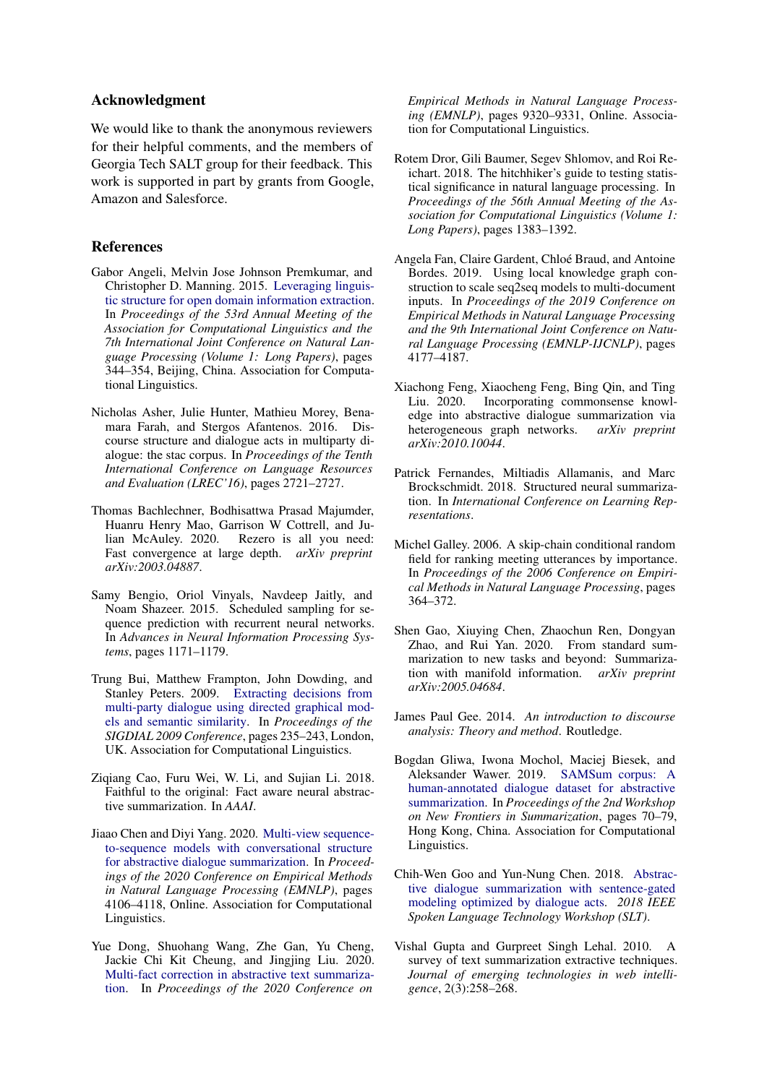# Acknowledgment

We would like to thank the anonymous reviewers for their helpful comments, and the members of Georgia Tech SALT group for their feedback. This work is supported in part by grants from Google, Amazon and Salesforce.

# References

- <span id="page-8-14"></span>Gabor Angeli, Melvin Jose Johnson Premkumar, and Christopher D. Manning. 2015. [Leveraging linguis](https://doi.org/10.3115/v1/P15-1034)[tic structure for open domain information extraction.](https://doi.org/10.3115/v1/P15-1034) In *Proceedings of the 53rd Annual Meeting of the Association for Computational Linguistics and the 7th International Joint Conference on Natural Language Processing (Volume 1: Long Papers)*, pages 344–354, Beijing, China. Association for Computational Linguistics.
- <span id="page-8-6"></span>Nicholas Asher, Julie Hunter, Mathieu Morey, Benamara Farah, and Stergos Afantenos. 2016. Discourse structure and dialogue acts in multiparty dialogue: the stac corpus. In *Proceedings of the Tenth International Conference on Language Resources and Evaluation (LREC'16)*, pages 2721–2727.
- <span id="page-8-15"></span>Thomas Bachlechner, Bodhisattwa Prasad Majumder, Huanru Henry Mao, Garrison W Cottrell, and Julian McAuley. 2020. Rezero is all you need: Fast convergence at large depth. *arXiv preprint arXiv:2003.04887*.
- <span id="page-8-16"></span>Samy Bengio, Oriol Vinyals, Navdeep Jaitly, and Noam Shazeer. 2015. Scheduled sampling for sequence prediction with recurrent neural networks. In *Advances in Neural Information Processing Systems*, pages 1171–1179.
- <span id="page-8-5"></span>Trung Bui, Matthew Frampton, John Dowding, and Stanley Peters. 2009. [Extracting decisions from](https://www.aclweb.org/anthology/W09-3934) [multi-party dialogue using directed graphical mod](https://www.aclweb.org/anthology/W09-3934)[els and semantic similarity.](https://www.aclweb.org/anthology/W09-3934) In *Proceedings of the SIGDIAL 2009 Conference*, pages 235–243, London, UK. Association for Computational Linguistics.
- <span id="page-8-13"></span>Ziqiang Cao, Furu Wei, W. Li, and Sujian Li. 2018. Faithful to the original: Fact aware neural abstractive summarization. In *AAAI*.
- <span id="page-8-3"></span>Jiaao Chen and Diyi Yang. 2020. [Multi-view sequence](https://www.aclweb.org/anthology/2020.emnlp-main.336)[to-sequence models with conversational structure](https://www.aclweb.org/anthology/2020.emnlp-main.336) [for abstractive dialogue summarization.](https://www.aclweb.org/anthology/2020.emnlp-main.336) In *Proceedings of the 2020 Conference on Empirical Methods in Natural Language Processing (EMNLP)*, pages 4106–4118, Online. Association for Computational Linguistics.
- <span id="page-8-11"></span>Yue Dong, Shuohang Wang, Zhe Gan, Yu Cheng, Jackie Chi Kit Cheung, and Jingjing Liu. 2020. [Multi-fact correction in abstractive text summariza](https://www.aclweb.org/anthology/2020.emnlp-main.749)[tion.](https://www.aclweb.org/anthology/2020.emnlp-main.749) In *Proceedings of the 2020 Conference on*

*Empirical Methods in Natural Language Processing (EMNLP)*, pages 9320–9331, Online. Association for Computational Linguistics.

- <span id="page-8-17"></span>Rotem Dror, Gili Baumer, Segev Shlomov, and Roi Reichart. 2018. The hitchhiker's guide to testing statistical significance in natural language processing. In *Proceedings of the 56th Annual Meeting of the Association for Computational Linguistics (Volume 1: Long Papers)*, pages 1383–1392.
- <span id="page-8-10"></span>Angela Fan, Claire Gardent, Chloé Braud, and Antoine Bordes. 2019. Using local knowledge graph construction to scale seq2seq models to multi-document inputs. In *Proceedings of the 2019 Conference on Empirical Methods in Natural Language Processing and the 9th International Joint Conference on Natural Language Processing (EMNLP-IJCNLP)*, pages 4177–4187.
- <span id="page-8-1"></span>Xiachong Feng, Xiaocheng Feng, Bing Qin, and Ting Liu. 2020. Incorporating commonsense knowledge into abstractive dialogue summarization via heterogeneous graph networks. *arXiv preprint arXiv:2010.10044*.
- <span id="page-8-9"></span>Patrick Fernandes, Miltiadis Allamanis, and Marc Brockschmidt. 2018. Structured neural summarization. In *International Conference on Learning Representations*.
- <span id="page-8-12"></span>Michel Galley. 2006. A skip-chain conditional random field for ranking meeting utterances by importance. In *Proceedings of the 2006 Conference on Empirical Methods in Natural Language Processing*, pages 364–372.
- <span id="page-8-0"></span>Shen Gao, Xiuying Chen, Zhaochun Ren, Dongyan Zhao, and Rui Yan. 2020. From standard summarization to new tasks and beyond: Summarization with manifold information. *arXiv preprint arXiv:2005.04684*.
- <span id="page-8-7"></span>James Paul Gee. 2014. *An introduction to discourse analysis: Theory and method*. Routledge.
- <span id="page-8-2"></span>Bogdan Gliwa, Iwona Mochol, Maciej Biesek, and Aleksander Wawer. 2019. [SAMSum corpus: A](https://doi.org/10.18653/v1/D19-5409) [human-annotated dialogue dataset for abstractive](https://doi.org/10.18653/v1/D19-5409) [summarization.](https://doi.org/10.18653/v1/D19-5409) In *Proceedings of the 2nd Workshop on New Frontiers in Summarization*, pages 70–79, Hong Kong, China. Association for Computational Linguistics.
- <span id="page-8-4"></span>Chih-Wen Goo and Yun-Nung Chen. 2018. [Abstrac](https://doi.org/10.1109/slt.2018.8639531)[tive dialogue summarization with sentence-gated](https://doi.org/10.1109/slt.2018.8639531) [modeling optimized by dialogue acts.](https://doi.org/10.1109/slt.2018.8639531) *2018 IEEE Spoken Language Technology Workshop (SLT)*.
- <span id="page-8-8"></span>Vishal Gupta and Gurpreet Singh Lehal. 2010. A survey of text summarization extractive techniques. *Journal of emerging technologies in web intelligence*, 2(3):258–268.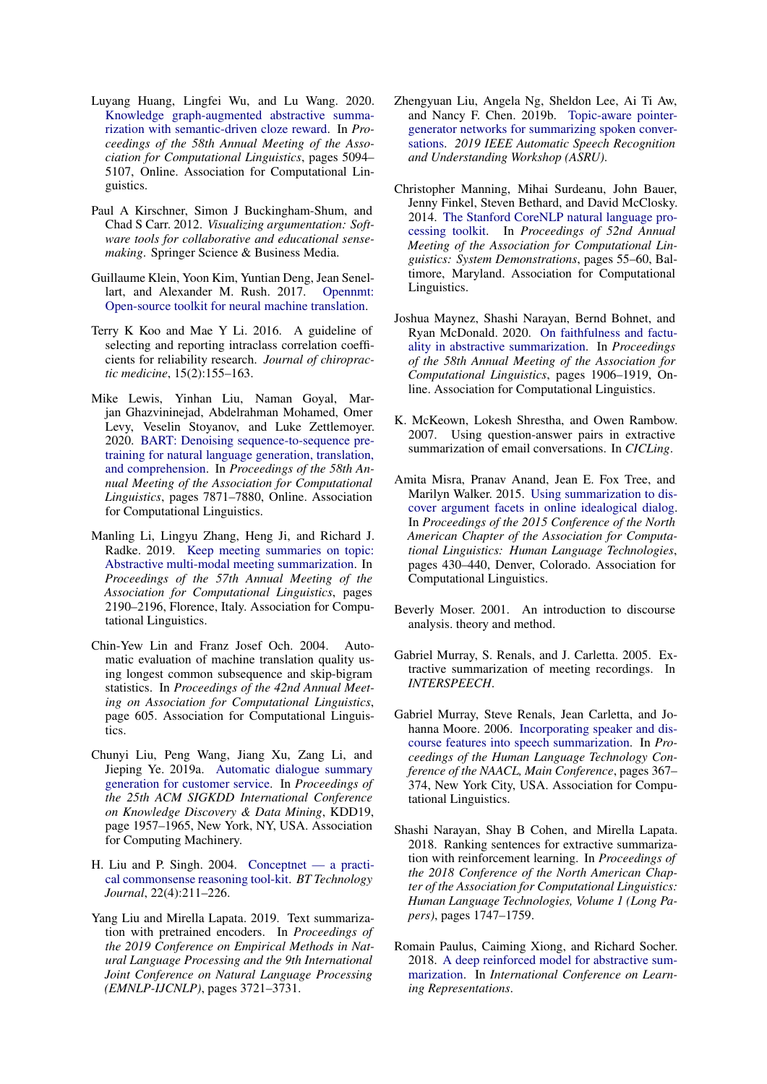- <span id="page-9-1"></span>Luyang Huang, Lingfei Wu, and Lu Wang. 2020. [Knowledge graph-augmented abstractive summa](https://doi.org/10.18653/v1/2020.acl-main.457)[rization with semantic-driven cloze reward.](https://doi.org/10.18653/v1/2020.acl-main.457) In *Proceedings of the 58th Annual Meeting of the Association for Computational Linguistics*, pages 5094– 5107, Online. Association for Computational Linguistics.
- <span id="page-9-6"></span>Paul A Kirschner, Simon J Buckingham-Shum, and Chad S Carr. 2012. *Visualizing argumentation: Software tools for collaborative and educational sensemaking*. Springer Science & Business Media.
- <span id="page-9-16"></span>Guillaume Klein, Yoon Kim, Yuntian Deng, Jean Senellart, and Alexander M. Rush. 2017. [Opennmt:](http://arxiv.org/abs/1701.02810) [Open-source toolkit for neural machine translation.](http://arxiv.org/abs/1701.02810)
- <span id="page-9-19"></span>Terry K Koo and Mae Y Li. 2016. A guideline of selecting and reporting intraclass correlation coefficients for reliability research. *Journal of chiropractic medicine*, 15(2):155–163.
- <span id="page-9-3"></span>Mike Lewis, Yinhan Liu, Naman Goyal, Marjan Ghazvininejad, Abdelrahman Mohamed, Omer Levy, Veselin Stoyanov, and Luke Zettlemoyer. 2020. [BART: Denoising sequence-to-sequence pre](https://doi.org/10.18653/v1/2020.acl-main.703)[training for natural language generation, translation,](https://doi.org/10.18653/v1/2020.acl-main.703) [and comprehension.](https://doi.org/10.18653/v1/2020.acl-main.703) In *Proceedings of the 58th Annual Meeting of the Association for Computational Linguistics*, pages 7871–7880, Online. Association for Computational Linguistics.
- <span id="page-9-5"></span>Manling Li, Lingyu Zhang, Heng Ji, and Richard J. Radke. 2019. [Keep meeting summaries on topic:](https://doi.org/10.18653/v1/P19-1210) [Abstractive multi-modal meeting summarization.](https://doi.org/10.18653/v1/P19-1210) In *Proceedings of the 57th Annual Meeting of the Association for Computational Linguistics*, pages 2190–2196, Florence, Italy. Association for Computational Linguistics.
- <span id="page-9-18"></span>Chin-Yew Lin and Franz Josef Och. 2004. Automatic evaluation of machine translation quality using longest common subsequence and skip-bigram statistics. In *Proceedings of the 42nd Annual Meeting on Association for Computational Linguistics*, page 605. Association for Computational Linguistics.
- <span id="page-9-10"></span>Chunyi Liu, Peng Wang, Jiang Xu, Zang Li, and Jieping Ye. 2019a. [Automatic dialogue summary](https://doi.org/10.1145/3292500.3330683) [generation for customer service.](https://doi.org/10.1145/3292500.3330683) In *Proceedings of the 25th ACM SIGKDD International Conference on Knowledge Discovery & Data Mining*, KDD19, page 1957–1965, New York, NY, USA. Association for Computing Machinery.
- <span id="page-9-17"></span>H. Liu and P. Singh. 2004. [Conceptnet — a practi](https://doi.org/10.1023/B:BTTJ.0000047600.45421.6d)[cal commonsense reasoning tool-kit.](https://doi.org/10.1023/B:BTTJ.0000047600.45421.6d) *BT Technology Journal*, 22(4):211–226.
- <span id="page-9-2"></span>Yang Liu and Mirella Lapata. 2019. Text summarization with pretrained encoders. In *Proceedings of the 2019 Conference on Empirical Methods in Natural Language Processing and the 9th International Joint Conference on Natural Language Processing (EMNLP-IJCNLP)*, pages 3721–3731.
- <span id="page-9-4"></span>Zhengyuan Liu, Angela Ng, Sheldon Lee, Ai Ti Aw, and Nancy F. Chen. 2019b. [Topic-aware pointer](https://doi.org/10.1109/asru46091.2019.9003764)[generator networks for summarizing spoken conver](https://doi.org/10.1109/asru46091.2019.9003764)[sations.](https://doi.org/10.1109/asru46091.2019.9003764) *2019 IEEE Automatic Speech Recognition and Understanding Workshop (ASRU)*.
- <span id="page-9-14"></span>Christopher Manning, Mihai Surdeanu, John Bauer, Jenny Finkel, Steven Bethard, and David McClosky. 2014. [The Stanford CoreNLP natural language pro](https://doi.org/10.3115/v1/P14-5010)[cessing toolkit.](https://doi.org/10.3115/v1/P14-5010) In *Proceedings of 52nd Annual Meeting of the Association for Computational Linguistics: System Demonstrations*, pages 55–60, Baltimore, Maryland. Association for Computational Linguistics.
- <span id="page-9-8"></span>Joshua Maynez, Shashi Narayan, Bernd Bohnet, and Ryan McDonald. 2020. [On faithfulness and factu](https://doi.org/10.18653/v1/2020.acl-main.173)[ality in abstractive summarization.](https://doi.org/10.18653/v1/2020.acl-main.173) In *Proceedings of the 58th Annual Meeting of the Association for Computational Linguistics*, pages 1906–1919, Online. Association for Computational Linguistics.
- <span id="page-9-12"></span>K. McKeown, Lokesh Shrestha, and Owen Rambow. 2007. Using question-answer pairs in extractive summarization of email conversations. In *CICLing*.
- <span id="page-9-15"></span>Amita Misra, Pranav Anand, Jean E. Fox Tree, and Marilyn Walker. 2015. [Using summarization to dis](https://doi.org/10.3115/v1/N15-1046)[cover argument facets in online idealogical dialog.](https://doi.org/10.3115/v1/N15-1046) In *Proceedings of the 2015 Conference of the North American Chapter of the Association for Computational Linguistics: Human Language Technologies*, pages 430–440, Denver, Colorado. Association for Computational Linguistics.
- <span id="page-9-13"></span>Beverly Moser. 2001. An introduction to discourse analysis. theory and method.
- <span id="page-9-9"></span>Gabriel Murray, S. Renals, and J. Carletta. 2005. Extractive summarization of meeting recordings. In *INTERSPEECH*.
- <span id="page-9-11"></span>Gabriel Murray, Steve Renals, Jean Carletta, and Johanna Moore. 2006. [Incorporating speaker and dis](https://www.aclweb.org/anthology/N06-1047)[course features into speech summarization.](https://www.aclweb.org/anthology/N06-1047) In *Proceedings of the Human Language Technology Conference of the NAACL, Main Conference*, pages 367– 374, New York City, USA. Association for Computational Linguistics.
- <span id="page-9-7"></span>Shashi Narayan, Shay B Cohen, and Mirella Lapata. 2018. Ranking sentences for extractive summarization with reinforcement learning. In *Proceedings of the 2018 Conference of the North American Chapter of the Association for Computational Linguistics: Human Language Technologies, Volume 1 (Long Papers)*, pages 1747–1759.
- <span id="page-9-0"></span>Romain Paulus, Caiming Xiong, and Richard Socher. 2018. [A deep reinforced model for abstractive sum](https://openreview.net/forum?id=HkAClQgA-)[marization.](https://openreview.net/forum?id=HkAClQgA-) In *International Conference on Learning Representations*.